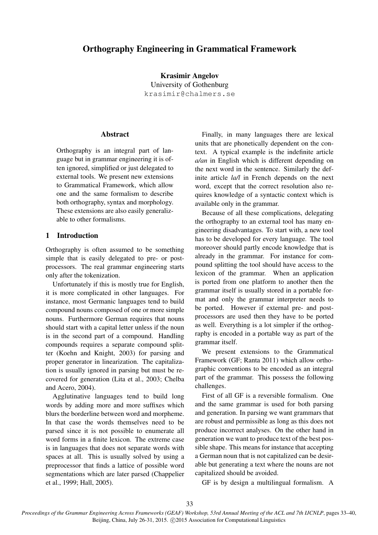# Orthography Engineering in Grammatical Framework

Krasimir Angelov University of Gothenburg krasimir@chalmers.se

### **Abstract**

Orthography is an integral part of language but in grammar engineering it is often ignored, simplified or just delegated to external tools. We present new extensions to Grammatical Framework, which allow one and the same formalism to describe both orthography, syntax and morphology. These extensions are also easily generalizable to other formalisms.

## 1 Introduction

Orthography is often assumed to be something simple that is easily delegated to pre- or postprocessors. The real grammar engineering starts only after the tokenization.

Unfortunately if this is mostly true for English, it is more complicated in other languages. For instance, most Germanic languages tend to build compound nouns composed of one or more simple nouns. Furthermore German requires that nouns should start with a capital letter unless if the noun is in the second part of a compound. Handling compounds requires a separate compound splitter (Koehn and Knight, 2003) for parsing and proper generator in linearization. The capitalization is usually ignored in parsing but must be recovered for generation (Lita et al., 2003; Chelba and Acero, 2004).

Agglutinative languages tend to build long words by adding more and more suffixes which blurs the borderline between word and morpheme. In that case the words themselves need to be parsed since it is not possible to enumerate all word forms in a finite lexicon. The extreme case is in languages that does not separate words with spaces at all. This is usually solved by using a preprocessor that finds a lattice of possible word segmentations which are later parsed (Chappelier et al., 1999; Hall, 2005).

Finally, in many languages there are lexical units that are phonetically dependent on the context. A typical example is the indefinite article *a/an* in English which is different depending on the next word in the sentence. Similarly the definite article *la/l* in French depends on the next word, except that the correct resolution also requires knowledge of a syntactic context which is available only in the grammar.

Because of all these complications, delegating the orthography to an external tool has many engineering disadvantages. To start with, a new tool has to be developed for every language. The tool moreover should partly encode knowledge that is already in the grammar. For instance for compound splitting the tool should have access to the lexicon of the grammar. When an application is ported from one platform to another then the grammar itself is usually stored in a portable format and only the grammar interpreter needs to be ported. However if external pre- and postprocessors are used then they have to be ported as well. Everything is a lot simpler if the orthography is encoded in a portable way as part of the grammar itself.

We present extensions to the Grammatical Framework (GF; Ranta 2011) which allow orthographic conventions to be encoded as an integral part of the grammar. This possess the following challenges.

First of all GF is a reversible formalism. One and the same grammar is used for both parsing and generation. In parsing we want grammars that are robust and permissible as long as this does not produce incorrect analyses. On the other hand in generation we want to produce text of the best possible shape. This means for instance that accepting a German noun that is not capitalized can be desirable but generating a text where the nouns are not capitalized should be avoided.

GF is by design a multilingual formalism. A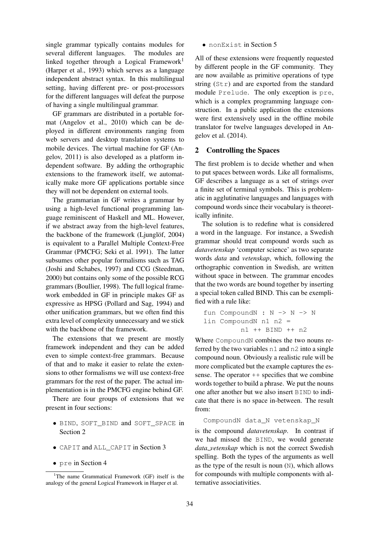single grammar typically contains modules for several different languages. The modules are linked together through a Logical Framework<sup>1</sup> (Harper et al., 1993) which serves as a language independent abstract syntax. In this multilingual setting, having different pre- or post-processors for the different languages will defeat the purpose of having a single multilingual grammar.

GF grammars are distributed in a portable format (Angelov et al., 2010) which can be deployed in different environments ranging from web servers and desktop translation systems to mobile devices. The virtual machine for GF (Angelov, 2011) is also developed as a platform independent software. By adding the orthographic extensions to the framework itself, we automatically make more GF applications portable since they will not be dependent on external tools.

The grammarian in GF writes a grammar by using a high-level functional programming language reminiscent of Haskell and ML. However, if we abstract away from the high-level features, the backbone of the framework  $(Ljunglöf, 2004)$ is equivalent to a Parallel Multiple Context-Free Grammar (PMCFG; Seki et al. 1991). The latter subsumes other popular formalisms such as TAG (Joshi and Schabes, 1997) and CCG (Steedman, 2000) but contains only some of the possible RCG grammars (Boullier, 1998). The full logical framework embedded in GF in principle makes GF as expressive as HPSG (Pollard and Sag, 1994) and other unification grammars, but we often find this extra level of complexity unnecessary and we stick with the backbone of the framework.

The extensions that we present are mostly framework independent and they can be added even to simple context-free grammars. Because of that and to make it easier to relate the extensions to other formalisms we will use context-free grammars for the rest of the paper. The actual implementation is in the PMCFG engine behind GF.

There are four groups of extensions that we present in four sections:

- BIND, SOFT\_BIND and SOFT\_SPACE in Section 2
- CAPIT and ALL\_CAPIT in Section 3
- pre in Section 4

• nonExist in Section 5

All of these extensions were frequently requested by different people in the GF community. They are now available as primitive operations of type string (Str) and are exported from the standard module Prelude. The only exception is pre, which is a complex programming language construction. In a public application the extensions were first extensively used in the offline mobile translator for twelve languages developed in Angelov et al. (2014).

## 2 Controlling the Spaces

The first problem is to decide whether and when to put spaces between words. Like all formalisms, GF describes a language as a set of strings over a finite set of terminal symbols. This is problematic in agglutinative languages and languages with compound words since their vocabulary is theoretically infinite.

The solution is to redefine what is considered a word in the language. For instance, a Swedish grammar should treat compound words such as *datavetenskap* 'computer science' as two separate words *data* and *vetenskap*, which, following the orthographic convention in Swedish, are written without space in between. The grammar encodes that the two words are bound together by inserting a special token called BIND. This can be exemplified with a rule like:

$$
fun CompoundN : N \rightarrow N \rightarrow N
$$
\n
$$
lin CompoundN n1 n2 =
$$
\n
$$
n1 + BIND + n2
$$

Where CompoundN combines the two nouns referred by the two variables n1 and n2 into a single compound noun. Obviously a realistic rule will be more complicated but the example captures the essense. The operator  $++$  specifies that we combine words together to build a phrase. We put the nouns one after another but we also insert BIND to indicate that there is no space in-between. The result from:

#### CompoundN data\_N vetenskap\_N

is the compound *datavetenskap*. In contrast if we had missed the BIND, we would generate *data vetenskap* which is not the correct Swedish spelling. Both the types of the arguments as well as the type of the result is noun (N), which allows for compounds with multiple components with alternative associativities.

<sup>&</sup>lt;sup>1</sup>The name Grammatical Framework (GF) itself is the analogy of the general Logical Framework in Harper et al.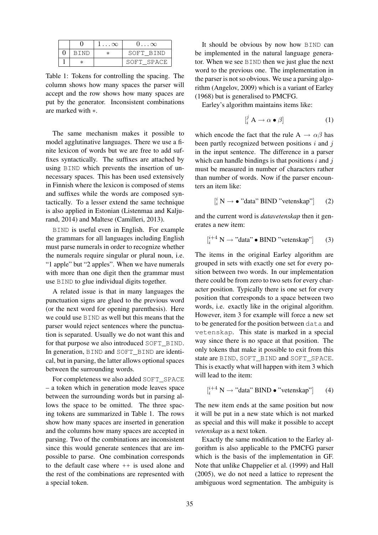|      | $1 \ldots \infty$ | $0 \dots \infty$ |
|------|-------------------|------------------|
| BIND | ж                 | SOFT BIND        |
| ж    |                   | SOFT SPACE       |

Table 1: Tokens for controlling the spacing. The column shows how many spaces the parser will accept and the row shows how many spaces are put by the generator. Inconsistent combinations are marked with ∗.

The same mechanism makes it possible to model agglutinative languages. There we use a finite lexicon of words but we are free to add suffixes syntactically. The suffixes are attached by using BIND which prevents the insertion of unnecessary spaces. This has been used extensively in Finnish where the lexicon is composed of stems and suffixes while the words are composed syntactically. To a lesser extend the same technique is also applied in Estonian (Listenmaa and Kaljurand, 2014) and Maltese (Camilleri, 2013).

BIND is useful even in English. For example the grammars for all languages including English must parse numerals in order to recognize whether the numerals require singular or plural noun, i.e. "1 apple" but "2 apples". When we have numerals with more than one digit then the grammar must use BIND to glue individual digits together.

A related issue is that in many languages the punctuation signs are glued to the previous word (or the next word for opening parenthesis). Here we could use BIND as well but this means that the parser would reject sentences where the punctuation is separated. Usually we do not want this and for that purpose we also introduced SOFT\_BIND. In generation, BIND and SOFT\_BIND are identical, but in parsing, the latter allows optional spaces between the surrounding words.

For completeness we also added SOFT\_SPACE – a token which in generation mode leaves space between the surrounding words but in parsing allows the space to be omitted. The three spacing tokens are summarized in Table 1. The rows show how many spaces are inserted in generation and the columns how many spaces are accepted in parsing. Two of the combinations are inconsistent since this would generate sentences that are impossible to parse. One combination corresponds to the default case where ++ is used alone and the rest of the combinations are represented with a special token.

It should be obvious by now how BIND can be implemented in the natural language generator. When we see BIND then we just glue the next word to the previous one. The implementation in the parser is not so obvious. We use a parsing algorithm (Angelov, 2009) which is a variant of Earley (1968) but is generalised to PMCFG.

Earley's algorithm maintains items like:

$$
\left[\begin{matrix} j \\ i \end{matrix}\right] \mathbf{A} \to \alpha \bullet \beta\right] \tag{1}
$$

which encode the fact that the rule A  $\rightarrow \alpha \beta$  has been partly recognized between positions  $i$  and  $j$ in the input sentence. The difference in a parser which can handle bindings is that positions  $i$  and  $j$ must be measured in number of characters rather than number of words. Now if the parser encounters an item like:

$$
[i N \rightarrow \bullet "data" BIND "vetenskap"] \qquad (2)
$$

and the current word is *datavetenskap* then it generates a new item:

$$
\left[\begin{array}{c}i+4\\i\end{array}\right] \rightarrow \text{"data"} \bullet \text{BIND "vetenskap"}\right] \qquad (3)
$$

The items in the original Earley algorithm are grouped in sets with exactly one set for every position between two words. In our implementation there could be from zero to two sets for every character position. Typically there is one set for every position that corresponds to a space between two words, i.e. exactly like in the original algorithm. However, item 3 for example will force a new set to be generated for the position between data and vetenskap. This state is marked in a special way since there is no space at that position. The only tokens that make it possible to exit from this state are BIND, SOFT\_BIND and SOFT\_SPACE. This is exactly what will happen with item 3 which will lead to the item:

$$
\begin{bmatrix} i^{+4} \ N \rightarrow \text{"data" BIND} \bullet \text{"vetenskap"} \end{bmatrix} \qquad (4)
$$

The new item ends at the same position but now it will be put in a new state which is not marked as special and this will make it possible to accept *vetenskap* as a next token.

Exactly the same modification to the Earley algorithm is also applicable to the PMCFG parser which is the basis of the implementation in GF. Note that unlike Chappelier et al. (1999) and Hall (2005), we do not need a lattice to represent the ambiguous word segmentation. The ambiguity is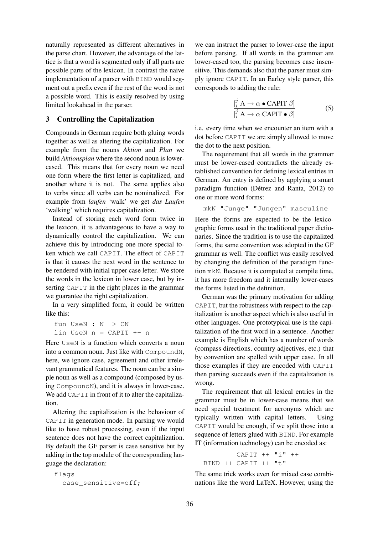naturally represented as different alternatives in the parse chart. However, the advantage of the lattice is that a word is segmented only if all parts are possible parts of the lexicon. In contrast the naive implementation of a parser with BIND would segment out a prefix even if the rest of the word is not a possible word. This is easily resolved by using limited lookahead in the parser.

#### 3 Controlling the Capitalization

Compounds in German require both gluing words together as well as altering the capitalization. For example from the nouns *Aktion* and *Plan* we build *Aktionsplan* where the second noun is lowercased. This means that for every noun we need one form where the first letter is capitalized, and another where it is not. The same applies also to verbs since all verbs can be nominalized. For example from *laufen* 'walk' we get *das Laufen* 'walking' which requires capitalization.

Instead of storing each word form twice in the lexicon, it is advantageous to have a way to dynamically control the capitalization. We can achieve this by introducing one more special token which we call CAPIT. The effect of CAPIT is that it causes the next word in the sentence to be rendered with initial upper case letter. We store the words in the lexicon in lower case, but by inserting CAPIT in the right places in the grammar we guarantee the right capitalization.

In a very simplified form, it could be written like this:

fun UseN : N -> CN lin UseN n = CAPIT ++ n

Here UseN is a function which converts a noun into a common noun. Just like with CompoundN, here, we ignore case, agreement and other irrelevant grammatical features. The noun can be a simple noun as well as a compound (composed by using CompoundN), and it is always in lower-case. We add CAPIT in front of it to alter the capitalization.

Altering the capitalization is the behaviour of CAPIT in generation mode. In parsing we would like to have robust processing, even if the input sentence does not have the correct capitalization. By default the GF parser is case sensitive but by adding in the top module of the corresponding language the declaration:

```
flags
 case_sensitive=off;
```
we can instruct the parser to lower-case the input before parsing. If all words in the grammar are lower-cased too, the parsing becomes case insensitive. This demands also that the parser must simply ignore CAPIT. In an Earley style parser, this corresponds to adding the rule:

$$
\frac{\left[\stackrel{j}{i} \mathbf{A} \to \alpha \bullet \mathbf{CAPIT} \beta\right]}{\left[\stackrel{j}{i} \mathbf{A} \to \alpha \mathbf{CAPIT} \bullet \beta\right]}
$$
(5)

i.e. every time when we encounter an item with a dot before CAPIT we are simply allowed to move the dot to the next position.

The requirement that all words in the grammar must be lower-cased contradicts the already established convention for defining lexical entries in German. An entry is defined by applying a smart paradigm function (Détrez and Ranta, 2012) to one or more word forms:

```
mkN "Junge" "Jungen" masculine
```
Here the forms are expected to be the lexicographic forms used in the traditional paper dictionaries. Since the tradition is to use the capitalized forms, the same convention was adopted in the GF grammar as well. The conflict was easily resolved by changing the definition of the paradigm function mkN. Because it is computed at compile time, it has more freedom and it internally lower-cases the forms listed in the definition.

German was the primary motivation for adding CAPIT, but the robustness with respect to the capitalization is another aspect which is also useful in other languages. One prototypical use is the capitalization of the first word in a sentence. Another example is English which has a number of words (compass directions, country adjectives, etc.) that by convention are spelled with upper case. In all those examples if they are encoded with CAPIT then parsing succeeds even if the capitalization is wrong.

The requirement that all lexical entries in the grammar must be in lower-case means that we need special treatment for acronyms which are typically written with capital letters. Using CAPIT would be enough, if we split those into a sequence of letters glued with BIND. For example IT (information technology) can be encoded as:

```
CAPIT ++ "i" ++
BIND ++ CAPIT ++ "t"
```
The same trick works even for mixed case combinations like the word LaTeX. However, using the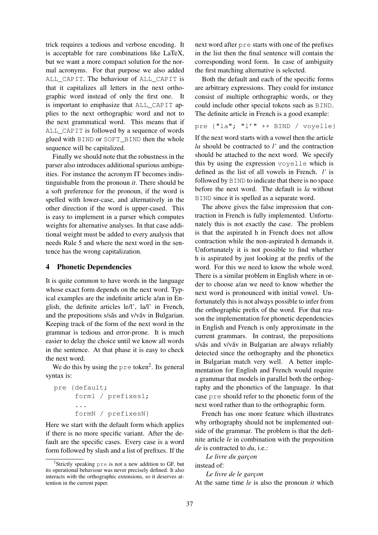trick requires a tedious and verbose encoding. It is acceptable for rare combinations like LaTeX, but we want a more compact solution for the normal acronyms. For that purpose we also added ALL\_CAPIT. The behaviour of ALL\_CAPIT is that it capitalizes all letters in the next orthographic word instead of only the first one. It is important to emphasize that ALL\_CAPIT applies to the next orthographic word and not to the next grammatical word. This means that if ALL\_CAPIT is followed by a sequence of words glued with BIND or SOFT\_BIND then the whole sequence will be capitalized.

Finally we should note that the robustness in the parser also introduces additional spurious ambiguities. For instance the acronym IT becomes indistinguishable from the pronoun *it*. There should be a soft preference for the pronoun, if the word is spelled with lower-case, and alternatively in the other direction if the word is upper-cased. This is easy to implement in a parser which computes weights for alternative analyses. In that case additional weight must be added to every analysis that needs Rule 5 and where the next word in the sentence has the wrong capitalization.

## 4 Phonetic Dependencies

It is quite common to have words in the language whose exact form depends on the next word. Typical examples are the indefinite article a/an in English, the definite articles le/l', la/l' in French, and the prepositions  $s/s$  and  $v/v$  av in Bulgarian. Keeping track of the form of the next word in the grammar is tedious and error-prone. It is much easier to delay the choice until we know all words in the sentence. At that phase it is easy to check the next word.

We do this by using the  $pre$  token<sup>2</sup>. Its general syntax is:

```
pre {default;
     form1 / prefixes1;
     ...
     formN / prefixesN}
```
Here we start with the default form which applies if there is no more specific variant. After the default are the specific cases. Every case is a word form followed by slash and a list of prefixes. If the

next word after pre starts with one of the prefixes in the list then the final sentence will contain the corresponding word form. In case of ambiguity the first matching alternative is selected.

Both the default and each of the specific forms are arbitrary expressions. They could for instance consist of multiple orthographic words, or they could include other special tokens such as BIND. The definite article in French is a good example:

```
pre {"la"; "l'" ++ BIND / voyelle}
```
If the next word starts with a vowel then the article *la* should be contracted to *l'* and the contraction should be attached to the next word. We specify this by using the expression voyelle which is defined as the list of all vowels in French. *l'* is followed by BIND to indicate that there is no space before the next word. The default is *la* without BIND since it is spelled as a separate word.

The above gives the false impression that contraction in French is fully implemented. Unfortunately this is not exactly the case. The problem is that the aspirated h in French does not allow contraction while the non-aspirated h demands it. Unfortunately it is not possible to find whether h is aspirated by just looking at the prefix of the word. For this we need to know the whole word. There is a similar problem in English where in order to choose a/an we need to know whether the next word is pronounced with initial vowel. Unfortunately this is not always possible to infer from the orthographic prefix of the word. For that reason the implementation for phonetic dependencies in English and French is only approximate in the current grammars. In contrast, the prepositions s/sǎs and v/vǎv in Bulgarian are always reliably detected since the orthography and the phonetics in Bulgarian match very well. A better implementation for English and French would require a grammar that models in parallel both the orthography and the phonetics of the language. In that case pre should refer to the phonetic form of the next word rather than to the orthographic form.

French has one more feature which illustrates why orthography should not be implemented outside of the grammar. The problem is that the definite article *le* in combination with the preposition *de* is contracted to *du*, i.e.:

*Le livre du garc¸on*

instead of: *Le livre de le garc¸on*

At the same time *le* is also the pronoun *it* which

<sup>&</sup>lt;sup>2</sup>Strictly speaking pre is not a new addition to GF, but its operational behaviour was never precisely defined. It also interacts with the orthographic extensions, so it deserves attention in the current paper.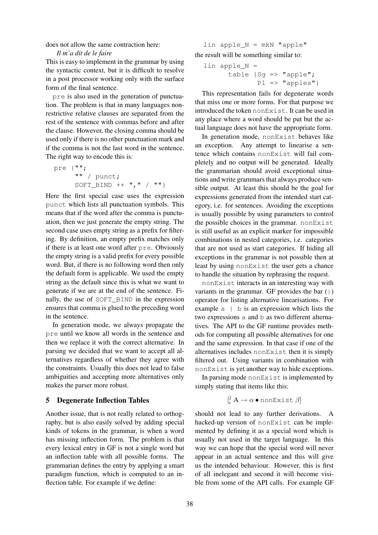#### does not allow the same contraction here:

#### *Il m'a dit de le faire*

This is easy to implement in the grammar by using the syntactic context, but it is difficult to resolve in a post processor working only with the surface form of the final sentence.

pre is also used in the generation of punctuation. The problem is that in many languages nonrestrictive relative clauses are separated from the rest of the sentence with commas before and after the clause. However, the closing comma should be used only if there is no other punctuation mark and if the comma is not the last word in the sentence. The right way to encode this is:

pre {""; "" / punct; SOFT\_BIND ++ "," / ""}

Here the first special case uses the expression punct which lists all punctuation symbols. This means that if the word after the comma is punctuation, then we just generate the empty string. The second case uses empty string as a prefix for filtering. By definition, an empty prefix matches only if there is at least one word after pre. Obviously the empty string is a valid prefix for every possible word. But, if there is no following word then only the default form is applicable. We used the empty string as the default since this is what we want to generate if we are at the end of the sentence. Finally, the use of SOFT\_BIND in the expression ensures that comma is glued to the preceding word in the sentence.

In generation mode, we always propagate the pre until we know all words in the sentence and then we replace it with the correct alternative. In parsing we decided that we want to accept all alternatives regardless of whether they agree with the constraints. Usually this does not lead to false ambiguities and accepting more alternatives only makes the parser more robust.

#### 5 Degenerate Inflection Tables

Another issue, that is not really related to orthography, but is also easily solved by adding special kinds of tokens in the grammar, is when a word has missing inflection form. The problem is that every lexical entry in GF is not a single word but an inflection table with all possible forms. The grammarian defines the entry by applying a smart paradigm function, which is computed to an inflection table. For example if we define:

 $lin$  apple\_N = mkN "apple" the result will be something similar to:

$$
\begin{aligned}\n\text{lin apple\_N} &= \\
\text{table } \{ \text{Sg} &=> \text{"apple";} \\
\text{Pl} &=> \text{"apples"} \}\n\end{aligned}
$$

This representation fails for degenerate words that miss one or more forms. For that purpose we introduced the token nonExist. It can be used in any place where a word should be put but the actual language does not have the appropriate form.

In generation mode, nonExist behaves like an exception. Any attempt to linearise a sentence which contains nonExist will fail completely and no output will be generated. Ideally the grammarian should avoid exceptional situations and write grammars that always produce sensible output. At least this should be the goal for expressions generated from the intended start category, i.e. for sentences. Avoiding the exceptions is usually possible by using parameters to control the possible choices in the grammar. nonExist is still useful as an explicit marker for impossible combinations in nested categories, i.e. categories that are not used as start categories. If hiding all exceptions in the grammar is not possible then at least by using nonExist the user gets a chance to handle the situation by rephrasing the request.

nonExist interacts in an interesting way with variants in the grammar. GF provides the bar  $($  |  $)$ operator for listing alternative linearisations. For example a | b is an expression which lists the two expressions a and b as two different alternatives. The API to the GF runtime provides methods for computing all possible alternatives for one and the same expression. In that case if one of the alternatives includes nonExist then it is simply filtered out. Using variants in combination with nonExist is yet another way to hide exceptions.

In parsing mode nonExist is implemented by simply stating that items like this:

$$
[i] A \to \alpha \bullet \text{nonExist } \beta]
$$

should not lead to any further derivations. A hacked-up version of nonExist can be implemented by defining it as a special word which is usually not used in the target language. In this way we can hope that the special word will never appear in an actual sentence and this will give us the intended behaviour. However, this is first of all inelegant and second it will become visible from some of the API calls. For example GF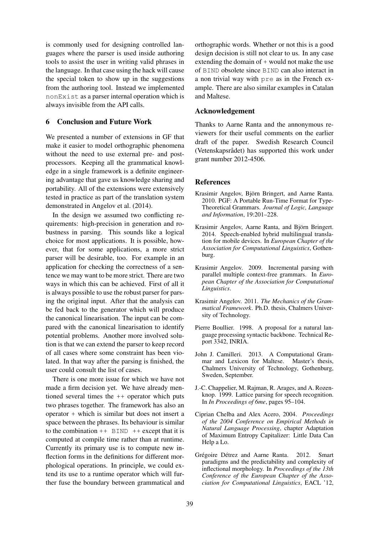is commonly used for designing controlled languages where the parser is used inside authoring tools to assist the user in writing valid phrases in the language. In that case using the hack will cause the special token to show up in the suggestions from the authoring tool. Instead we implemented nonExist as a parser internal operation which is always invisible from the API calls.

## 6 Conclusion and Future Work

We presented a number of extensions in GF that make it easier to model orthographic phenomena without the need to use external pre- and postprocessors. Keeping all the grammatical knowledge in a single framework is a definite engineering advantage that gave us knowledge sharing and portability. All of the extensions were extensively tested in practice as part of the translation system demonstrated in Angelov et al. (2014).

In the design we assumed two conflicting requirements: high-precision in generation and robustness in parsing. This sounds like a logical choice for most applications. It is possible, however, that for some applications, a more strict parser will be desirable, too. For example in an application for checking the correctness of a sentence we may want to be more strict. There are two ways in which this can be achieved. First of all it is always possible to use the robust parser for parsing the original input. After that the analysis can be fed back to the generator which will produce the canonical linearisation. The input can be compared with the canonical linearisation to identify potential problems. Another more involved solution is that we can extend the parser to keep record of all cases where some constraint has been violated. In that way after the parsing is finished, the user could consult the list of cases.

There is one more issue for which we have not made a firm decision yet. We have already mentioned several times the ++ operator which puts two phrases together. The framework has also an operator + which is similar but does not insert a space between the phrases. Its behaviour is similar to the combination  $++$  BIND  $++$  except that it is computed at compile time rather than at runtime. Currently its primary use is to compute new inflection forms in the definitions for different morphological operations. In principle, we could extend its use to a runtime operator which will further fuse the boundary between grammatical and orthographic words. Whether or not this is a good design decision is still not clear to us. In any case extending the domain of  $+$  would not make the use of BIND obsolete since BIND can also interact in a non trivial way with pre as in the French example. There are also similar examples in Catalan and Maltese.

## Acknowledgement

Thanks to Aarne Ranta and the annonymous reviewers for their useful comments on the earlier draft of the paper. Swedish Research Council (Vetenskapsrådet) has supported this work under grant number 2012-4506.

#### References

- Krasimir Angelov, Björn Bringert, and Aarne Ranta. 2010. PGF: A Portable Run-Time Format for Type-Theoretical Grammars. *Journal of Logic, Language and Information*, 19:201–228.
- Krasimir Angelov, Aarne Ranta, and Björn Bringert. 2014. Speech-enabled hybrid multilingual translation for mobile devices. In *European Chapter of the Association for Computational Linguistics*, Gothenburg.
- Krasimir Angelov. 2009. Incremental parsing with parallel multiple context-free grammars. In *European Chapter of the Association for Computational Linguistics*.
- Krasimir Angelov. 2011. *The Mechanics of the Grammatical Framework*. Ph.D. thesis, Chalmers University of Technology.
- Pierre Boullier. 1998. A proposal for a natural language processing syntactic backbone. Technical Report 3342, INRIA.
- John J. Camilleri. 2013. A Computational Grammar and Lexicon for Maltese. Master's thesis, Chalmers University of Technology, Gothenburg, Sweden, September.
- J.-C. Chappelier, M. Rajman, R. Arages, and A. Rozenknop. 1999. Lattice parsing for speech recognition. In *In Proceedings of 6me*, pages 95–104.
- Ciprian Chelba and Alex Acero, 2004. *Proceedings of the 2004 Conference on Empirical Methods in Natural Language Processing*, chapter Adaptation of Maximum Entropy Capitalizer: Little Data Can Help a Lo.
- Grégoire Détrez and Aarne Ranta. 2012. Smart paradigms and the predictability and complexity of inflectional morphology. In *Proceedings of the 13th Conference of the European Chapter of the Association for Computational Linguistics*, EACL '12,